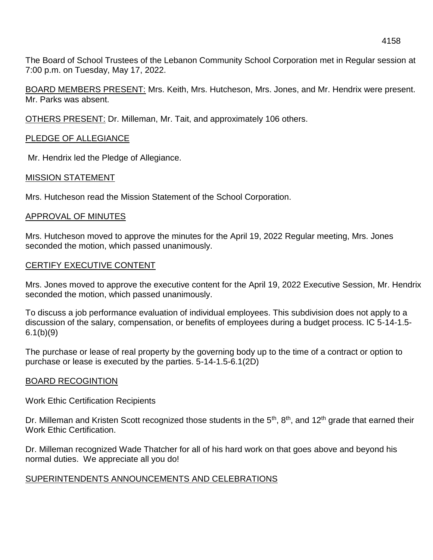The Board of School Trustees of the Lebanon Community School Corporation met in Regular session at 7:00 p.m. on Tuesday, May 17, 2022.

BOARD MEMBERS PRESENT: Mrs. Keith, Mrs. Hutcheson, Mrs. Jones, and Mr. Hendrix were present. Mr. Parks was absent.

OTHERS PRESENT: Dr. Milleman, Mr. Tait, and approximately 106 others.

## PLEDGE OF ALLEGIANCE

Mr. Hendrix led the Pledge of Allegiance.

#### MISSION STATEMENT

Mrs. Hutcheson read the Mission Statement of the School Corporation.

#### APPROVAL OF MINUTES

Mrs. Hutcheson moved to approve the minutes for the April 19, 2022 Regular meeting, Mrs. Jones seconded the motion, which passed unanimously.

#### CERTIFY EXECUTIVE CONTENT

Mrs. Jones moved to approve the executive content for the April 19, 2022 Executive Session, Mr. Hendrix seconded the motion, which passed unanimously.

To discuss a job performance evaluation of individual employees. This subdivision does not apply to a discussion of the salary, compensation, or benefits of employees during a budget process. IC 5-14-1.5- 6.1(b)(9)

The purchase or lease of real property by the governing body up to the time of a contract or option to purchase or lease is executed by the parties. 5-14-1.5-6.1(2D)

#### BOARD RECOGINTION

Work Ethic Certification Recipients

Dr. Milleman and Kristen Scott recognized those students in the  $5<sup>th</sup>$ , 8<sup>th</sup>, and 12<sup>th</sup> grade that earned their Work Ethic Certification.

Dr. Milleman recognized Wade Thatcher for all of his hard work on that goes above and beyond his normal duties. We appreciate all you do!

#### SUPERINTENDENTS ANNOUNCEMENTS AND CELEBRATIONS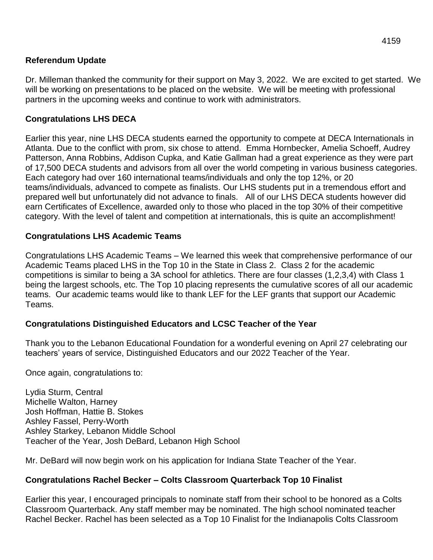# **Referendum Update**

Dr. Milleman thanked the community for their support on May 3, 2022. We are excited to get started. We will be working on presentations to be placed on the website. We will be meeting with professional partners in the upcoming weeks and continue to work with administrators.

## **Congratulations LHS DECA**

Earlier this year, nine LHS DECA students earned the opportunity to compete at DECA Internationals in Atlanta. Due to the conflict with prom, six chose to attend. Emma Hornbecker, Amelia Schoeff, Audrey Patterson, Anna Robbins, Addison Cupka, and Katie Gallman had a great experience as they were part of 17,500 DECA students and advisors from all over the world competing in various business categories. Each category had over 160 international teams/individuals and only the top 12%, or 20 teams/individuals, advanced to compete as finalists. Our LHS students put in a tremendous effort and prepared well but unfortunately did not advance to finals. All of our LHS DECA students however did earn Certificates of Excellence, awarded only to those who placed in the top 30% of their competitive category. With the level of talent and competition at internationals, this is quite an accomplishment!

## **Congratulations LHS Academic Teams**

Congratulations LHS Academic Teams – We learned this week that comprehensive performance of our Academic Teams placed LHS in the Top 10 in the State in Class 2. Class 2 for the academic competitions is similar to being a 3A school for athletics. There are four classes (1,2,3,4) with Class 1 being the largest schools, etc. The Top 10 placing represents the cumulative scores of all our academic teams. Our academic teams would like to thank LEF for the LEF grants that support our Academic Teams.

#### **Congratulations Distinguished Educators and LCSC Teacher of the Year**

Thank you to the Lebanon Educational Foundation for a wonderful evening on April 27 celebrating our teachers' years of service, Distinguished Educators and our 2022 Teacher of the Year.

Once again, congratulations to:

Lydia Sturm, Central Michelle Walton, Harney Josh Hoffman, Hattie B. Stokes Ashley Fassel, Perry-Worth Ashley Starkey, Lebanon Middle School Teacher of the Year, Josh DeBard, Lebanon High School

Mr. DeBard will now begin work on his application for Indiana State Teacher of the Year.

# **Congratulations Rachel Becker – Colts Classroom Quarterback Top 10 Finalist**

Earlier this year, I encouraged principals to nominate staff from their school to be honored as a Colts Classroom Quarterback. Any staff member may be nominated. The high school nominated teacher Rachel Becker. Rachel has been selected as a Top 10 Finalist for the Indianapolis Colts Classroom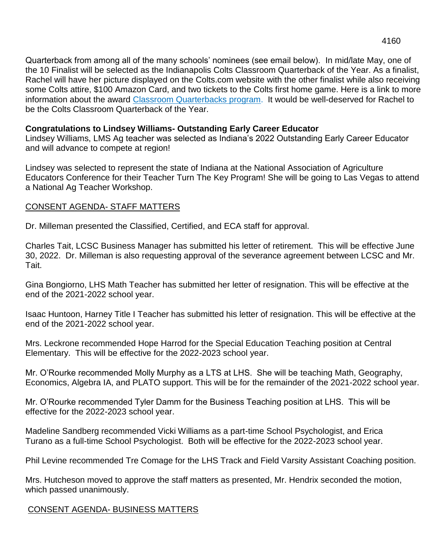Quarterback from among all of the many schools' nominees (see email below). In mid/late May, one of the 10 Finalist will be selected as the Indianapolis Colts Classroom Quarterback of the Year. As a finalist, Rachel will have her picture displayed on the Colts.com website with the other finalist while also receiving some Colts attire, \$100 Amazon Card, and two tickets to the Colts first home game. Here is a link to more information about the award [Classroom Quarterbacks program.](https://www.colts.com/fans/contests/anthem-classroomqbs) It would be well-deserved for Rachel to be the Colts Classroom Quarterback of the Year.

### **Congratulations to Lindsey Williams- Outstanding Early Career Educator**

Lindsey Williams, LMS Ag teacher was selected as Indiana's 2022 Outstanding Early Career Educator and will advance to compete at region!

Lindsey was selected to represent the state of Indiana at the National Association of Agriculture Educators Conference for their Teacher Turn The Key Program! She will be going to Las Vegas to attend a National Ag Teacher Workshop.

## CONSENT AGENDA- STAFF MATTERS

Dr. Milleman presented the Classified, Certified, and ECA staff for approval.

Charles Tait, LCSC Business Manager has submitted his letter of retirement. This will be effective June 30, 2022. Dr. Milleman is also requesting approval of the severance agreement between LCSC and Mr. Tait.

Gina Bongiorno, LHS Math Teacher has submitted her letter of resignation. This will be effective at the end of the 2021-2022 school year.

Isaac Huntoon, Harney Title I Teacher has submitted his letter of resignation. This will be effective at the end of the 2021-2022 school year.

Mrs. Leckrone recommended Hope Harrod for the Special Education Teaching position at Central Elementary. This will be effective for the 2022-2023 school year.

Mr. O'Rourke recommended Molly Murphy as a LTS at LHS. She will be teaching Math, Geography, Economics, Algebra IA, and PLATO support. This will be for the remainder of the 2021-2022 school year.

Mr. O'Rourke recommended Tyler Damm for the Business Teaching position at LHS. This will be effective for the 2022-2023 school year.

Madeline Sandberg recommended Vicki Williams as a part-time School Psychologist, and Erica Turano as a full-time School Psychologist. Both will be effective for the 2022-2023 school year.

Phil Levine recommended Tre Comage for the LHS Track and Field Varsity Assistant Coaching position.

Mrs. Hutcheson moved to approve the staff matters as presented, Mr. Hendrix seconded the motion, which passed unanimously.

# CONSENT AGENDA- BUSINESS MATTERS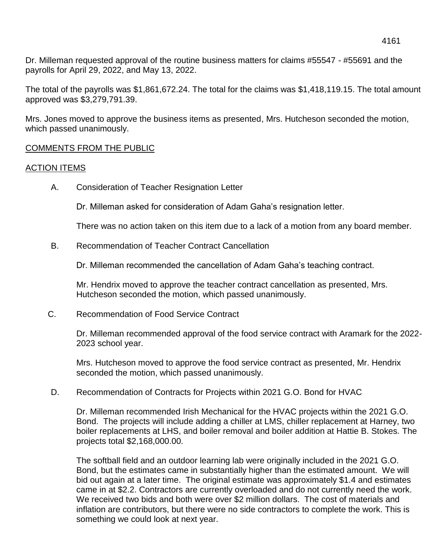Dr. Milleman requested approval of the routine business matters for claims #55547 - #55691 and the payrolls for April 29, 2022, and May 13, 2022.

The total of the payrolls was \$1,861,672.24. The total for the claims was \$1,418,119.15. The total amount approved was \$3,279,791.39.

Mrs. Jones moved to approve the business items as presented, Mrs. Hutcheson seconded the motion, which passed unanimously.

## COMMENTS FROM THE PUBLIC

#### ACTION ITEMS

A. Consideration of Teacher Resignation Letter

Dr. Milleman asked for consideration of Adam Gaha's resignation letter.

There was no action taken on this item due to a lack of a motion from any board member.

B. Recommendation of Teacher Contract Cancellation

Dr. Milleman recommended the cancellation of Adam Gaha's teaching contract.

Mr. Hendrix moved to approve the teacher contract cancellation as presented, Mrs. Hutcheson seconded the motion, which passed unanimously.

C. Recommendation of Food Service Contract

Dr. Milleman recommended approval of the food service contract with Aramark for the 2022- 2023 school year.

Mrs. Hutcheson moved to approve the food service contract as presented, Mr. Hendrix seconded the motion, which passed unanimously.

D. Recommendation of Contracts for Projects within 2021 G.O. Bond for HVAC

Dr. Milleman recommended Irish Mechanical for the HVAC projects within the 2021 G.O. Bond. The projects will include adding a chiller at LMS, chiller replacement at Harney, two boiler replacements at LHS, and boiler removal and boiler addition at Hattie B. Stokes. The projects total \$2,168,000.00.

The softball field and an outdoor learning lab were originally included in the 2021 G.O. Bond, but the estimates came in substantially higher than the estimated amount. We will bid out again at a later time. The original estimate was approximately \$1.4 and estimates came in at \$2.2. Contractors are currently overloaded and do not currently need the work. We received two bids and both were over \$2 million dollars. The cost of materials and inflation are contributors, but there were no side contractors to complete the work. This is something we could look at next year.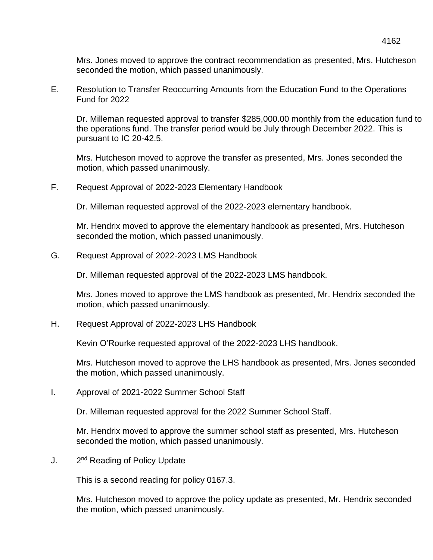Mrs. Jones moved to approve the contract recommendation as presented, Mrs. Hutcheson seconded the motion, which passed unanimously.

E. Resolution to Transfer Reoccurring Amounts from the Education Fund to the Operations Fund for 2022

Dr. Milleman requested approval to transfer \$285,000.00 monthly from the education fund to the operations fund. The transfer period would be July through December 2022. This is pursuant to IC 20-42.5.

Mrs. Hutcheson moved to approve the transfer as presented, Mrs. Jones seconded the motion, which passed unanimously.

F. Request Approval of 2022-2023 Elementary Handbook

Dr. Milleman requested approval of the 2022-2023 elementary handbook.

Mr. Hendrix moved to approve the elementary handbook as presented, Mrs. Hutcheson seconded the motion, which passed unanimously.

G. Request Approval of 2022-2023 LMS Handbook

Dr. Milleman requested approval of the 2022-2023 LMS handbook.

Mrs. Jones moved to approve the LMS handbook as presented, Mr. Hendrix seconded the motion, which passed unanimously.

H. Request Approval of 2022-2023 LHS Handbook

Kevin O'Rourke requested approval of the 2022-2023 LHS handbook.

Mrs. Hutcheson moved to approve the LHS handbook as presented, Mrs. Jones seconded the motion, which passed unanimously.

I. Approval of 2021-2022 Summer School Staff

Dr. Milleman requested approval for the 2022 Summer School Staff.

Mr. Hendrix moved to approve the summer school staff as presented, Mrs. Hutcheson seconded the motion, which passed unanimously.

 $J<sub>z</sub>$ 2<sup>nd</sup> Reading of Policy Update

This is a second reading for policy 0167.3.

Mrs. Hutcheson moved to approve the policy update as presented, Mr. Hendrix seconded the motion, which passed unanimously.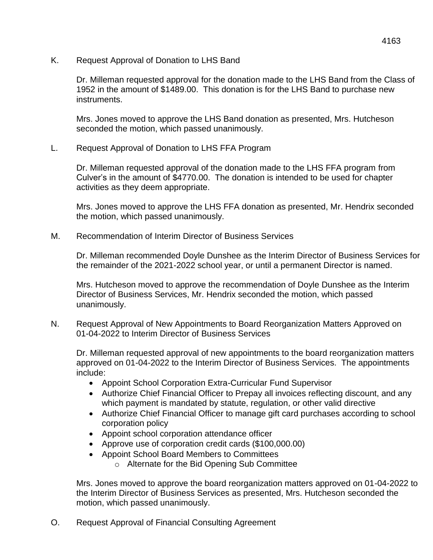K. Request Approval of Donation to LHS Band

Dr. Milleman requested approval for the donation made to the LHS Band from the Class of 1952 in the amount of \$1489.00. This donation is for the LHS Band to purchase new instruments.

Mrs. Jones moved to approve the LHS Band donation as presented, Mrs. Hutcheson seconded the motion, which passed unanimously.

L. Request Approval of Donation to LHS FFA Program

Dr. Milleman requested approval of the donation made to the LHS FFA program from Culver's in the amount of \$4770.00. The donation is intended to be used for chapter activities as they deem appropriate.

Mrs. Jones moved to approve the LHS FFA donation as presented, Mr. Hendrix seconded the motion, which passed unanimously.

M. Recommendation of Interim Director of Business Services

Dr. Milleman recommended Doyle Dunshee as the Interim Director of Business Services for the remainder of the 2021-2022 school year, or until a permanent Director is named.

Mrs. Hutcheson moved to approve the recommendation of Doyle Dunshee as the Interim Director of Business Services, Mr. Hendrix seconded the motion, which passed unanimously.

N. Request Approval of New Appointments to Board Reorganization Matters Approved on 01-04-2022 to Interim Director of Business Services

Dr. Milleman requested approval of new appointments to the board reorganization matters approved on 01-04-2022 to the Interim Director of Business Services. The appointments include:

- Appoint School Corporation Extra-Curricular Fund Supervisor
- Authorize Chief Financial Officer to Prepay all invoices reflecting discount, and any which payment is mandated by statute, regulation, or other valid directive
- Authorize Chief Financial Officer to manage gift card purchases according to school corporation policy
- Appoint school corporation attendance officer
- Approve use of corporation credit cards (\$100,000.00)
- Appoint School Board Members to Committees
	- o Alternate for the Bid Opening Sub Committee

Mrs. Jones moved to approve the board reorganization matters approved on 01-04-2022 to the Interim Director of Business Services as presented, Mrs. Hutcheson seconded the motion, which passed unanimously.

O. Request Approval of Financial Consulting Agreement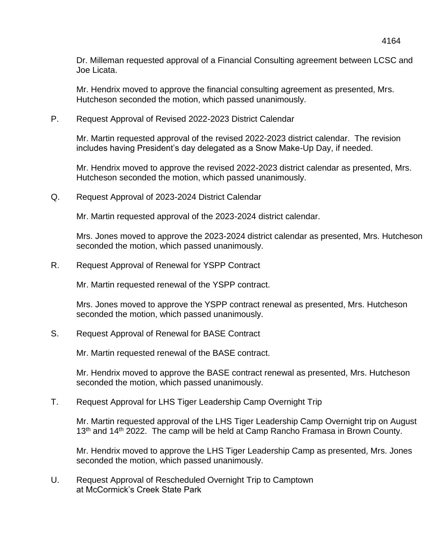Dr. Milleman requested approval of a Financial Consulting agreement between LCSC and Joe Licata.

Mr. Hendrix moved to approve the financial consulting agreement as presented, Mrs. Hutcheson seconded the motion, which passed unanimously.

P. Request Approval of Revised 2022-2023 District Calendar

Mr. Martin requested approval of the revised 2022-2023 district calendar. The revision includes having President's day delegated as a Snow Make-Up Day, if needed.

Mr. Hendrix moved to approve the revised 2022-2023 district calendar as presented, Mrs. Hutcheson seconded the motion, which passed unanimously.

Q. Request Approval of 2023-2024 District Calendar

Mr. Martin requested approval of the 2023-2024 district calendar.

Mrs. Jones moved to approve the 2023-2024 district calendar as presented, Mrs. Hutcheson seconded the motion, which passed unanimously.

R. Request Approval of Renewal for YSPP Contract

Mr. Martin requested renewal of the YSPP contract.

Mrs. Jones moved to approve the YSPP contract renewal as presented, Mrs. Hutcheson seconded the motion, which passed unanimously.

S. Request Approval of Renewal for BASE Contract

Mr. Martin requested renewal of the BASE contract.

Mr. Hendrix moved to approve the BASE contract renewal as presented, Mrs. Hutcheson seconded the motion, which passed unanimously.

T. Request Approval for LHS Tiger Leadership Camp Overnight Trip

Mr. Martin requested approval of the LHS Tiger Leadership Camp Overnight trip on August 13<sup>th</sup> and 14<sup>th</sup> 2022. The camp will be held at Camp Rancho Framasa in Brown County.

Mr. Hendrix moved to approve the LHS Tiger Leadership Camp as presented, Mrs. Jones seconded the motion, which passed unanimously.

U. Request Approval of Rescheduled Overnight Trip to Camptown at McCormick's Creek State Park